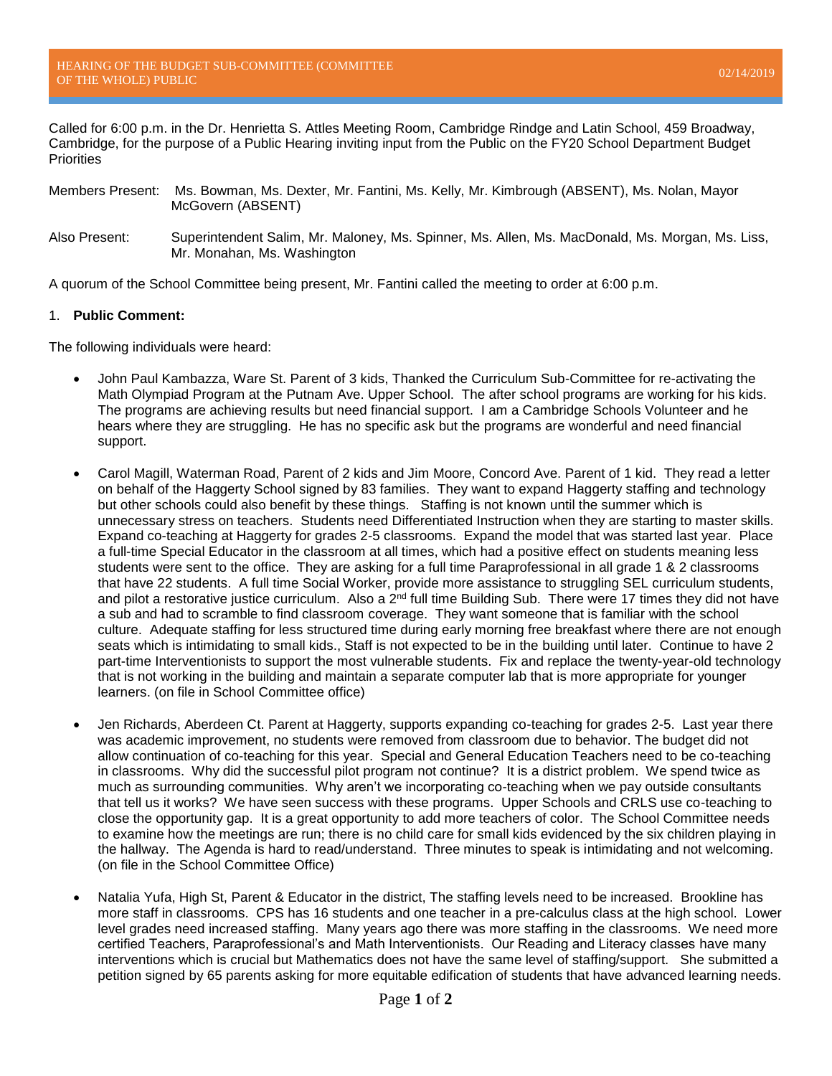Called for 6:00 p.m. in the Dr. Henrietta S. Attles Meeting Room, Cambridge Rindge and Latin School, 459 Broadway, Cambridge, for the purpose of a Public Hearing inviting input from the Public on the FY20 School Department Budget **Priorities** 

- Members Present: Ms. Bowman, Ms. Dexter, Mr. Fantini, Ms. Kelly, Mr. Kimbrough (ABSENT), Ms. Nolan, Mayor McGovern (ABSENT)
- Also Present: Superintendent Salim, Mr. Maloney, Ms. Spinner, Ms. Allen, Ms. MacDonald, Ms. Morgan, Ms. Liss, Mr. Monahan, Ms. Washington

A quorum of the School Committee being present, Mr. Fantini called the meeting to order at 6:00 p.m.

## 1. **Public Comment:**

The following individuals were heard:

- John Paul Kambazza, Ware St. Parent of 3 kids, Thanked the Curriculum Sub-Committee for re-activating the Math Olympiad Program at the Putnam Ave. Upper School. The after school programs are working for his kids. The programs are achieving results but need financial support. I am a Cambridge Schools Volunteer and he hears where they are struggling. He has no specific ask but the programs are wonderful and need financial support.
- Carol Magill, Waterman Road, Parent of 2 kids and Jim Moore, Concord Ave. Parent of 1 kid. They read a letter on behalf of the Haggerty School signed by 83 families. They want to expand Haggerty staffing and technology but other schools could also benefit by these things. Staffing is not known until the summer which is unnecessary stress on teachers. Students need Differentiated Instruction when they are starting to master skills. Expand co-teaching at Haggerty for grades 2-5 classrooms. Expand the model that was started last year. Place a full-time Special Educator in the classroom at all times, which had a positive effect on students meaning less students were sent to the office. They are asking for a full time Paraprofessional in all grade 1 & 2 classrooms that have 22 students. A full time Social Worker, provide more assistance to struggling SEL curriculum students, and pilot a restorative justice curriculum. Also a  $2^{nd}$  full time Building Sub. There were 17 times they did not have a sub and had to scramble to find classroom coverage. They want someone that is familiar with the school culture. Adequate staffing for less structured time during early morning free breakfast where there are not enough seats which is intimidating to small kids., Staff is not expected to be in the building until later. Continue to have 2 part-time Interventionists to support the most vulnerable students. Fix and replace the twenty-year-old technology that is not working in the building and maintain a separate computer lab that is more appropriate for younger learners. (on file in School Committee office)
- Jen Richards, Aberdeen Ct. Parent at Haggerty, supports expanding co-teaching for grades 2-5. Last year there was academic improvement, no students were removed from classroom due to behavior. The budget did not allow continuation of co-teaching for this year. Special and General Education Teachers need to be co-teaching in classrooms. Why did the successful pilot program not continue? It is a district problem. We spend twice as much as surrounding communities. Why aren't we incorporating co-teaching when we pay outside consultants that tell us it works? We have seen success with these programs. Upper Schools and CRLS use co-teaching to close the opportunity gap. It is a great opportunity to add more teachers of color. The School Committee needs to examine how the meetings are run; there is no child care for small kids evidenced by the six children playing in the hallway. The Agenda is hard to read/understand. Three minutes to speak is intimidating and not welcoming. (on file in the School Committee Office)
- Natalia Yufa, High St, Parent & Educator in the district, The staffing levels need to be increased. Brookline has more staff in classrooms. CPS has 16 students and one teacher in a pre-calculus class at the high school. Lower level grades need increased staffing. Many years ago there was more staffing in the classrooms. We need more certified Teachers, Paraprofessional's and Math Interventionists. Our Reading and Literacy classes have many interventions which is crucial but Mathematics does not have the same level of staffing/support. She submitted a petition signed by 65 parents asking for more equitable edification of students that have advanced learning needs.